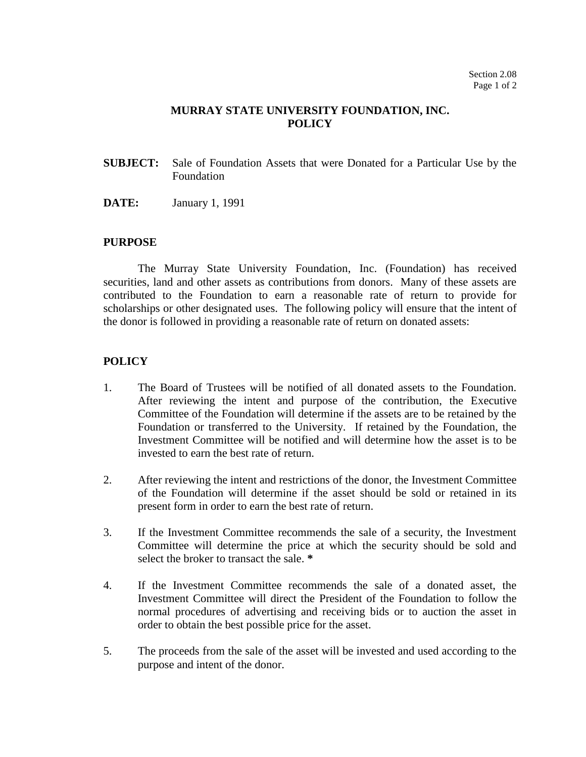## **MURRAY STATE UNIVERSITY FOUNDATION, INC. POLICY**

- **SUBJECT:** Sale of Foundation Assets that were Donated for a Particular Use by the Foundation
- **DATE:** January 1, 1991

## **PURPOSE**

The Murray State University Foundation, Inc. (Foundation) has received securities, land and other assets as contributions from donors. Many of these assets are contributed to the Foundation to earn a reasonable rate of return to provide for scholarships or other designated uses. The following policy will ensure that the intent of the donor is followed in providing a reasonable rate of return on donated assets:

## **POLICY**

- 1. The Board of Trustees will be notified of all donated assets to the Foundation. After reviewing the intent and purpose of the contribution, the Executive Committee of the Foundation will determine if the assets are to be retained by the Foundation or transferred to the University. If retained by the Foundation, the Investment Committee will be notified and will determine how the asset is to be invested to earn the best rate of return.
- 2. After reviewing the intent and restrictions of the donor, the Investment Committee of the Foundation will determine if the asset should be sold or retained in its present form in order to earn the best rate of return.
- 3. If the Investment Committee recommends the sale of a security, the Investment Committee will determine the price at which the security should be sold and select the broker to transact the sale. **\***
- 4. If the Investment Committee recommends the sale of a donated asset, the Investment Committee will direct the President of the Foundation to follow the normal procedures of advertising and receiving bids or to auction the asset in order to obtain the best possible price for the asset.
- 5. The proceeds from the sale of the asset will be invested and used according to the purpose and intent of the donor.